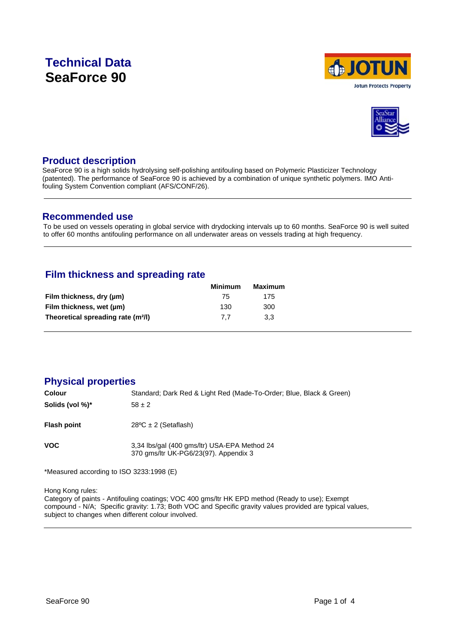# **Technical Data SeaForce 90**





### **Product description**

SeaForce 90 is a high solids hydrolysing self-polishing antifouling based on Polymeric Plasticizer Technology (patented). The performance of SeaForce 90 is achieved by a combination of unique synthetic polymers. IMO Antifouling System Convention compliant (AFS/CONF/26).

### **Recommended use**

To be used on vessels operating in global service with drydocking intervals up to 60 months. SeaForce 90 is well suited to offer 60 months antifouling performance on all underwater areas on vessels trading at high frequency.

# **Film thickness and spreading rate**

|                                                | Minimum | Maximum |
|------------------------------------------------|---------|---------|
| Film thickness, dry (µm)                       | 75      | 175     |
| Film thickness, wet (µm)                       | 130     | 300     |
| Theoretical spreading rate (m <sup>2</sup> /l) | 77      | 3.3     |

# **Physical properties**

| Colour             | Standard; Dark Red & Light Red (Made-To-Order; Blue, Black & Green)                   |
|--------------------|---------------------------------------------------------------------------------------|
| Solids (vol %)*    | $58 \pm 2$                                                                            |
| <b>Flash point</b> | $28^{\circ}$ C ± 2 (Setaflash)                                                        |
| VOC.               | 3,34 lbs/gal (400 gms/ltr) USA-EPA Method 24<br>370 gms/ltr UK-PG6/23(97). Appendix 3 |

\*Measured according to ISO 3233:1998 (E)

Hong Kong rules:

Category of paints - Antifouling coatings; VOC 400 gms/ltr HK EPD method (Ready to use); Exempt compound - N/A; Specific gravity: 1.73; Both VOC and Specific gravity values provided are typical values, subject to changes when different colour involved.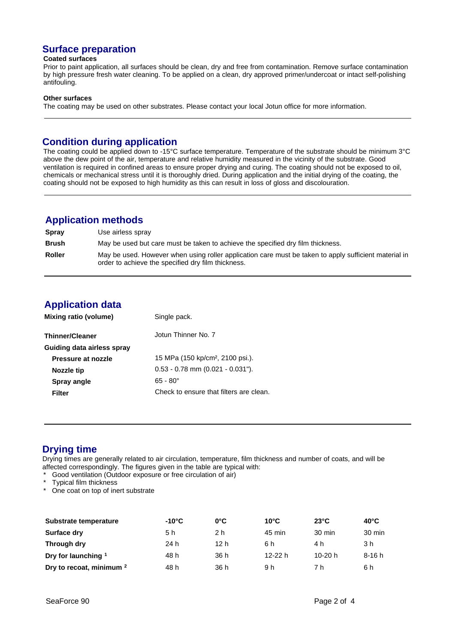# **Surface preparation**

#### **Coated surfaces**

Prior to paint application, all surfaces should be clean, dry and free from contamination. Remove surface contamination by high pressure fresh water cleaning. To be applied on a clean, dry approved primer/undercoat or intact self-polishing antifouling.

#### **Other surfaces**

The coating may be used on other substrates. Please contact your local Jotun office for more information.

# **Condition during application**

The coating could be applied down to -15°C surface temperature. Temperature of the substrate should be minimum 3°C above the dew point of the air, temperature and relative humidity measured in the vicinity of the substrate. Good ventilation is required in confined areas to ensure proper drying and curing. The coating should not be exposed to oil, chemicals or mechanical stress until it is thoroughly dried. During application and the initial drying of the coating, the coating should not be exposed to high humidity as this can result in loss of gloss and discolouration.

# **Application methods**

| <b>Spray</b>  | Use airless spray                                                                                                                                           |
|---------------|-------------------------------------------------------------------------------------------------------------------------------------------------------------|
| <b>Brush</b>  | May be used but care must be taken to achieve the specified dry film thickness.                                                                             |
| <b>Roller</b> | May be used. However when using roller application care must be taken to apply sufficient material in<br>order to achieve the specified dry film thickness. |

# **Application data**

| Mixing ratio (volume)      | Single pack.                                 |
|----------------------------|----------------------------------------------|
| <b>Thinner/Cleaner</b>     | Jotun Thinner No. 7                          |
| Guiding data airless spray |                                              |
| Pressure at nozzle         | 15 MPa (150 kp/cm <sup>2</sup> , 2100 psi.). |
| Nozzle tip                 | $0.53 - 0.78$ mm $(0.021 - 0.031")$ .        |
| Spray angle                | $65 - 80^{\circ}$                            |
| Filter                     | Check to ensure that filters are clean.      |

# **Drying time**

Drying times are generally related to air circulation, temperature, film thickness and number of coats, and will be affected correspondingly. The figures given in the table are typical with:

- Good ventilation (Outdoor exposure or free circulation of air)
- \* Typical film thickness<br>\* One coat on top of ine
- One coat on top of inert substrate

| Substrate temperature               | $-10^{\circ}$ C | $0^{\circ}$ C | $10^{\circ}$ C | $23^{\circ}$ C | $40^{\circ}$ C |
|-------------------------------------|-----------------|---------------|----------------|----------------|----------------|
| Surface dry                         | 5 h             | 2 h           | 45 min         | 30 min         | 30 min         |
| Through dry                         | 24 h            | 12 h          | 6 h            | 4 h            | 3 h            |
| Dry for launching 1                 | 48 h            | 36 h          | $12-22 h$      | 10-20 $h$      | $8-16h$        |
| Dry to recoat, minimum <sup>2</sup> | 48 h            | 36 h          | 9 h            | 7 h            | 6 h            |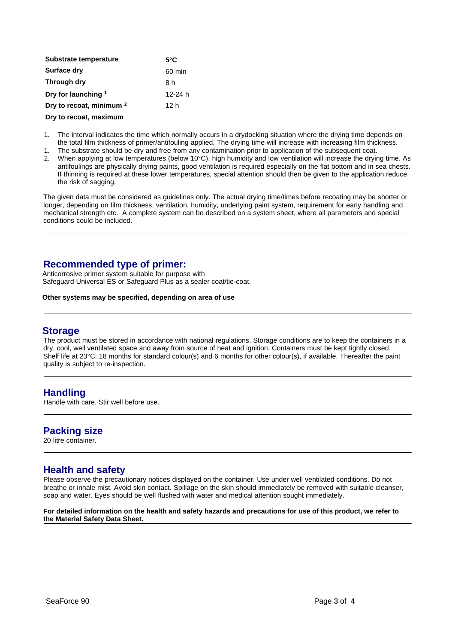| Substrate temperature               | $5^{\circ}$ C |
|-------------------------------------|---------------|
| <b>Surface dry</b>                  | 60 min        |
| Through dry                         | 8 h           |
| Dry for launching 1                 | 12-24 $h$     |
| Dry to recoat, minimum <sup>2</sup> | 12 h          |
| Dry to recoat, maximum              |               |

- 1. The interval indicates the time which normally occurs in a drydocking situation where the drying time depends on the total film thickness of primer/antifouling applied. The drying time will increase with increasing film thickness.<br>The substrate should be dry and free from any contamination prior to application of the subsequent coat.
- 1. The substrate should be dry and free from any contamination prior to application of the subsequent coat. 2. When applying at low temperatures (below 10°C), high humidity and low ventilation will increase the drying time. As antifoulings are physically drying paints, good ventilation is required especially on the flat bottom and in sea chests. If thinning is required at these lower temperatures, special attention should then be given to the application reduce the risk of sagging.

The given data must be considered as guidelines only. The actual drying time/times before recoating may be shorter or longer, depending on film thickness, ventilation, humidity, underlying paint system, requirement for early handling and mechanical strength etc. A complete system can be described on a system sheet, where all parameters and special conditions could be included.

# **Recommended type of primer:**

Anticorrosive primer system suitable for purpose with Safeguard Universal ES or Safeguard Plus as a sealer coat/tie-coat.

#### **Other systems may be specified, depending on area of use**

### **Storage**

The product must be stored in accordance with national regulations. Storage conditions are to keep the containers in a dry, cool, well ventilated space and away from source of heat and ignition. Containers must be kept tightly closed. Shelf life at 23°C: 18 months for standard colour(s) and 6 months for other colour(s), if available. Thereafter the paint quality is subject to re-inspection.

### **Handling**

Handle with care. Stir well before use.

# **Packing size**

20 litre container.

# **Health and safety**

Please observe the precautionary notices displayed on the container. Use under well ventilated conditions. Do not breathe or inhale mist. Avoid skin contact. Spillage on the skin should immediately be removed with suitable cleanser, soap and water. Eyes should be well flushed with water and medical attention sought immediately.

**For detailed information on the health and safety hazards and precautions for use of this product, we refer to the Material Safety Data Sheet.**